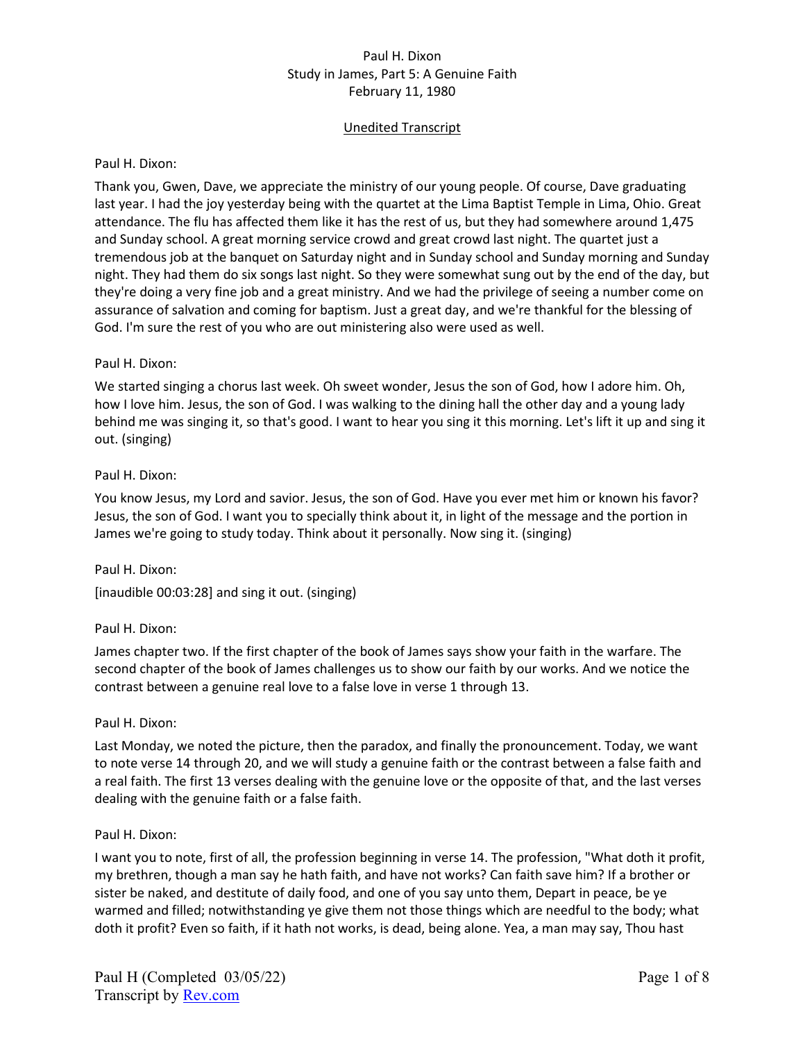# Unedited Transcript

#### Paul H. Dixon:

Thank you, Gwen, Dave, we appreciate the ministry of our young people. Of course, Dave graduating last year. I had the joy yesterday being with the quartet at the Lima Baptist Temple in Lima, Ohio. Great attendance. The flu has affected them like it has the rest of us, but they had somewhere around 1,475 and Sunday school. A great morning service crowd and great crowd last night. The quartet just a tremendous job at the banquet on Saturday night and in Sunday school and Sunday morning and Sunday night. They had them do six songs last night. So they were somewhat sung out by the end of the day, but they're doing a very fine job and a great ministry. And we had the privilege of seeing a number come on assurance of salvation and coming for baptism. Just a great day, and we're thankful for the blessing of God. I'm sure the rest of you who are out ministering also were used as well.

### Paul H. Dixon:

We started singing a chorus last week. Oh sweet wonder, Jesus the son of God, how I adore him. Oh, how I love him. Jesus, the son of God. I was walking to the dining hall the other day and a young lady behind me was singing it, so that's good. I want to hear you sing it this morning. Let's lift it up and sing it out. (singing)

### Paul H. Dixon:

You know Jesus, my Lord and savior. Jesus, the son of God. Have you ever met him or known his favor? Jesus, the son of God. I want you to specially think about it, in light of the message and the portion in James we're going to study today. Think about it personally. Now sing it. (singing)

Paul H. Dixon: [inaudible 00:03:28] and sing it out. (singing)

# Paul H. Dixon:

James chapter two. If the first chapter of the book of James says show your faith in the warfare. The second chapter of the book of James challenges us to show our faith by our works. And we notice the contrast between a genuine real love to a false love in verse 1 through 13.

# Paul H. Dixon:

Last Monday, we noted the picture, then the paradox, and finally the pronouncement. Today, we want to note verse 14 through 20, and we will study a genuine faith or the contrast between a false faith and a real faith. The first 13 verses dealing with the genuine love or the opposite of that, and the last verses dealing with the genuine faith or a false faith.

#### Paul H. Dixon:

I want you to note, first of all, the profession beginning in verse 14. The profession, "What doth it profit, my brethren, though a man say he hath faith, and have not works? Can faith save him? If a brother or sister be naked, and destitute of daily food, and one of you say unto them, Depart in peace, be ye warmed and filled; notwithstanding ye give them not those things which are needful to the body; what doth it profit? Even so faith, if it hath not works, is dead, being alone. Yea, a man may say, Thou hast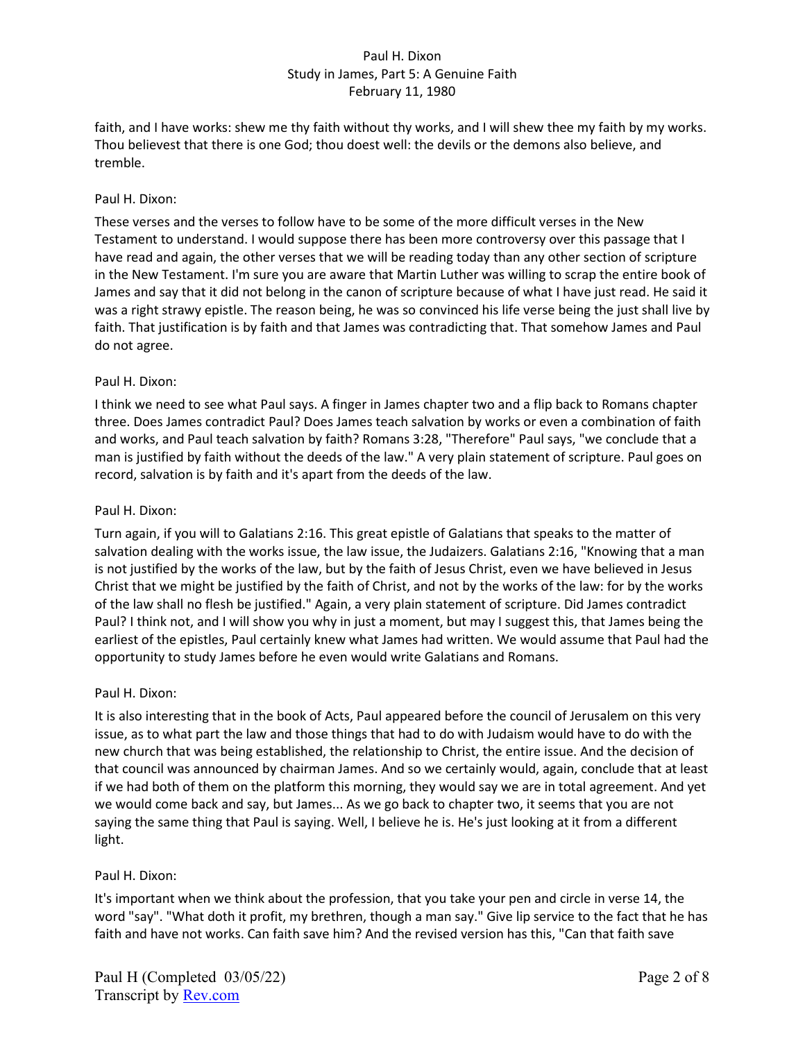faith, and I have works: shew me thy faith without thy works, and I will shew thee my faith by my works. Thou believest that there is one God; thou doest well: the devils or the demons also believe, and tremble.

## Paul H. Dixon:

These verses and the verses to follow have to be some of the more difficult verses in the New Testament to understand. I would suppose there has been more controversy over this passage that I have read and again, the other verses that we will be reading today than any other section of scripture in the New Testament. I'm sure you are aware that Martin Luther was willing to scrap the entire book of James and say that it did not belong in the canon of scripture because of what I have just read. He said it was a right strawy epistle. The reason being, he was so convinced his life verse being the just shall live by faith. That justification is by faith and that James was contradicting that. That somehow James and Paul do not agree.

### Paul H. Dixon:

I think we need to see what Paul says. A finger in James chapter two and a flip back to Romans chapter three. Does James contradict Paul? Does James teach salvation by works or even a combination of faith and works, and Paul teach salvation by faith? Romans 3:28, "Therefore" Paul says, "we conclude that a man is justified by faith without the deeds of the law." A very plain statement of scripture. Paul goes on record, salvation is by faith and it's apart from the deeds of the law.

### Paul H. Dixon:

Turn again, if you will to Galatians 2:16. This great epistle of Galatians that speaks to the matter of salvation dealing with the works issue, the law issue, the Judaizers. Galatians 2:16, "Knowing that a man is not justified by the works of the law, but by the faith of Jesus Christ, even we have believed in Jesus Christ that we might be justified by the faith of Christ, and not by the works of the law: for by the works of the law shall no flesh be justified." Again, a very plain statement of scripture. Did James contradict Paul? I think not, and I will show you why in just a moment, but may I suggest this, that James being the earliest of the epistles, Paul certainly knew what James had written. We would assume that Paul had the opportunity to study James before he even would write Galatians and Romans.

# Paul H. Dixon:

It is also interesting that in the book of Acts, Paul appeared before the council of Jerusalem on this very issue, as to what part the law and those things that had to do with Judaism would have to do with the new church that was being established, the relationship to Christ, the entire issue. And the decision of that council was announced by chairman James. And so we certainly would, again, conclude that at least if we had both of them on the platform this morning, they would say we are in total agreement. And yet we would come back and say, but James... As we go back to chapter two, it seems that you are not saying the same thing that Paul is saying. Well, I believe he is. He's just looking at it from a different light.

# Paul H. Dixon:

It's important when we think about the profession, that you take your pen and circle in verse 14, the word "say". "What doth it profit, my brethren, though a man say." Give lip service to the fact that he has faith and have not works. Can faith save him? And the revised version has this, "Can that faith save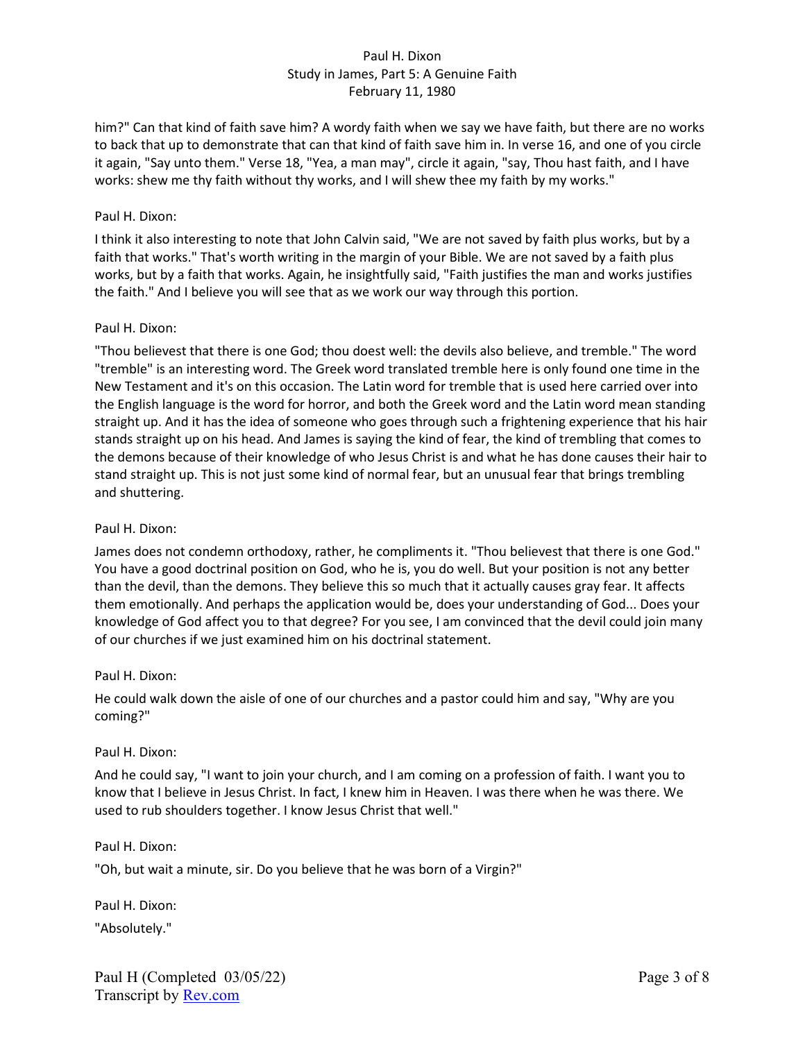him?" Can that kind of faith save him? A wordy faith when we say we have faith, but there are no works to back that up to demonstrate that can that kind of faith save him in. In verse 16, and one of you circle it again, "Say unto them." Verse 18, "Yea, a man may", circle it again, "say, Thou hast faith, and I have works: shew me thy faith without thy works, and I will shew thee my faith by my works."

## Paul H. Dixon:

I think it also interesting to note that John Calvin said, "We are not saved by faith plus works, but by a faith that works." That's worth writing in the margin of your Bible. We are not saved by a faith plus works, but by a faith that works. Again, he insightfully said, "Faith justifies the man and works justifies the faith." And I believe you will see that as we work our way through this portion.

### Paul H. Dixon:

"Thou believest that there is one God; thou doest well: the devils also believe, and tremble." The word "tremble" is an interesting word. The Greek word translated tremble here is only found one time in the New Testament and it's on this occasion. The Latin word for tremble that is used here carried over into the English language is the word for horror, and both the Greek word and the Latin word mean standing straight up. And it has the idea of someone who goes through such a frightening experience that his hair stands straight up on his head. And James is saying the kind of fear, the kind of trembling that comes to the demons because of their knowledge of who Jesus Christ is and what he has done causes their hair to stand straight up. This is not just some kind of normal fear, but an unusual fear that brings trembling and shuttering.

#### Paul H. Dixon:

James does not condemn orthodoxy, rather, he compliments it. "Thou believest that there is one God." You have a good doctrinal position on God, who he is, you do well. But your position is not any better than the devil, than the demons. They believe this so much that it actually causes gray fear. It affects them emotionally. And perhaps the application would be, does your understanding of God... Does your knowledge of God affect you to that degree? For you see, I am convinced that the devil could join many of our churches if we just examined him on his doctrinal statement.

#### Paul H. Dixon:

He could walk down the aisle of one of our churches and a pastor could him and say, "Why are you coming?"

#### Paul H. Dixon:

And he could say, "I want to join your church, and I am coming on a profession of faith. I want you to know that I believe in Jesus Christ. In fact, I knew him in Heaven. I was there when he was there. We used to rub shoulders together. I know Jesus Christ that well."

#### Paul H. Dixon:

"Oh, but wait a minute, sir. Do you believe that he was born of a Virgin?"

Paul H. Dixon: "Absolutely."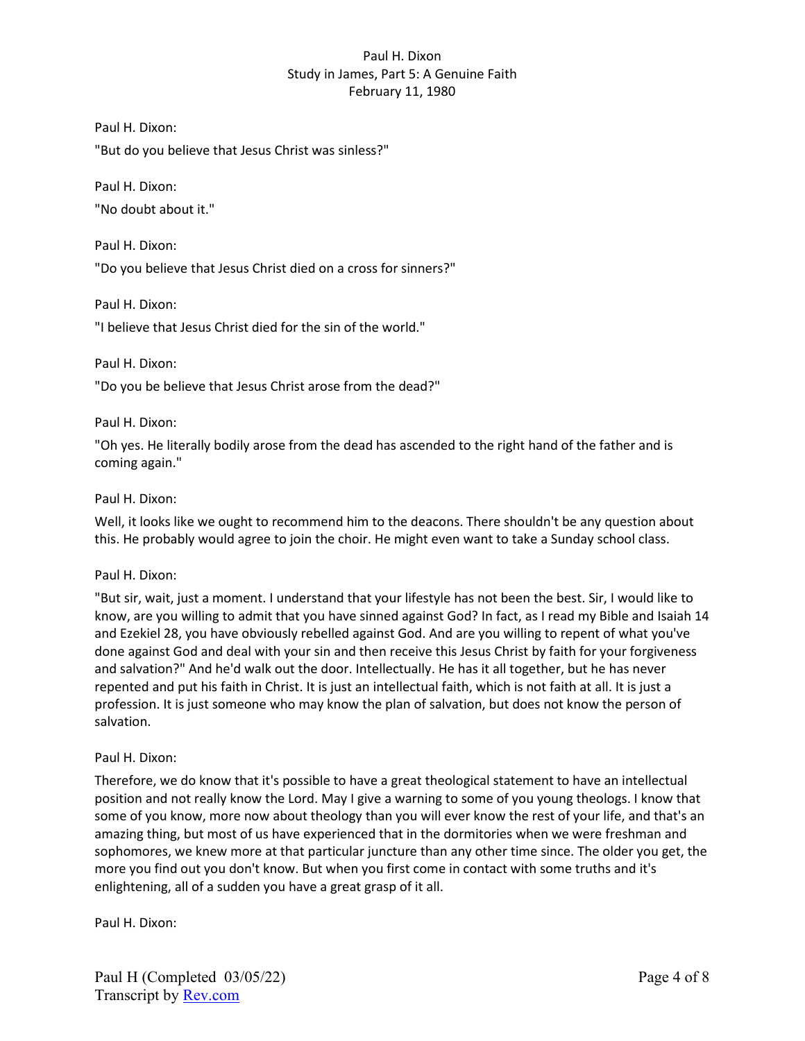Paul H. Dixon:

"But do you believe that Jesus Christ was sinless?"

Paul H. Dixon: "No doubt about it."

Paul H. Dixon: "Do you believe that Jesus Christ died on a cross for sinners?"

Paul H. Dixon:

"I believe that Jesus Christ died for the sin of the world."

Paul H. Dixon:

"Do you be believe that Jesus Christ arose from the dead?"

Paul H. Dixon:

"Oh yes. He literally bodily arose from the dead has ascended to the right hand of the father and is coming again."

#### Paul H. Dixon:

Well, it looks like we ought to recommend him to the deacons. There shouldn't be any question about this. He probably would agree to join the choir. He might even want to take a Sunday school class.

#### Paul H. Dixon:

"But sir, wait, just a moment. I understand that your lifestyle has not been the best. Sir, I would like to know, are you willing to admit that you have sinned against God? In fact, as I read my Bible and Isaiah 14 and Ezekiel 28, you have obviously rebelled against God. And are you willing to repent of what you've done against God and deal with your sin and then receive this Jesus Christ by faith for your forgiveness and salvation?" And he'd walk out the door. Intellectually. He has it all together, but he has never repented and put his faith in Christ. It is just an intellectual faith, which is not faith at all. It is just a profession. It is just someone who may know the plan of salvation, but does not know the person of salvation.

#### Paul H. Dixon:

Therefore, we do know that it's possible to have a great theological statement to have an intellectual position and not really know the Lord. May I give a warning to some of you young theologs. I know that some of you know, more now about theology than you will ever know the rest of your life, and that's an amazing thing, but most of us have experienced that in the dormitories when we were freshman and sophomores, we knew more at that particular juncture than any other time since. The older you get, the more you find out you don't know. But when you first come in contact with some truths and it's enlightening, all of a sudden you have a great grasp of it all.

Paul H. Dixon: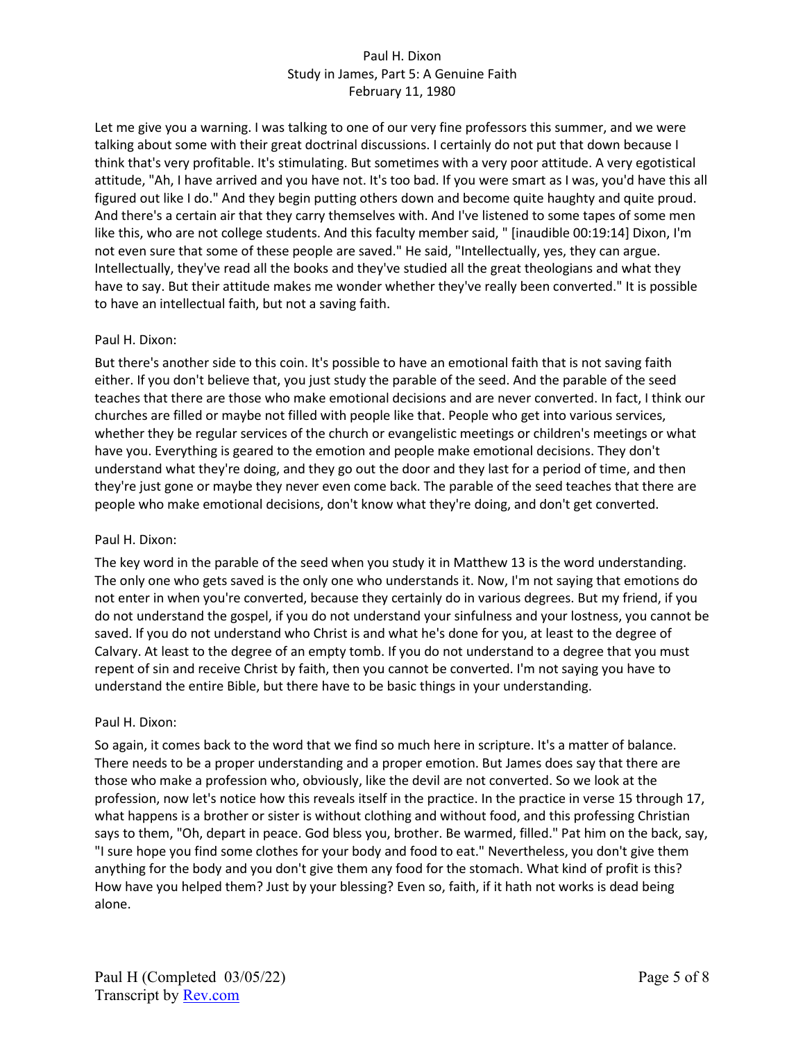Let me give you a warning. I was talking to one of our very fine professors this summer, and we were talking about some with their great doctrinal discussions. I certainly do not put that down because I think that's very profitable. It's stimulating. But sometimes with a very poor attitude. A very egotistical attitude, "Ah, I have arrived and you have not. It's too bad. If you were smart as I was, you'd have this all figured out like I do." And they begin putting others down and become quite haughty and quite proud. And there's a certain air that they carry themselves with. And I've listened to some tapes of some men like this, who are not college students. And this faculty member said, " [inaudible 00:19:14] Dixon, I'm not even sure that some of these people are saved." He said, "Intellectually, yes, they can argue. Intellectually, they've read all the books and they've studied all the great theologians and what they have to say. But their attitude makes me wonder whether they've really been converted." It is possible to have an intellectual faith, but not a saving faith.

# Paul H. Dixon:

But there's another side to this coin. It's possible to have an emotional faith that is not saving faith either. If you don't believe that, you just study the parable of the seed. And the parable of the seed teaches that there are those who make emotional decisions and are never converted. In fact, I think our churches are filled or maybe not filled with people like that. People who get into various services, whether they be regular services of the church or evangelistic meetings or children's meetings or what have you. Everything is geared to the emotion and people make emotional decisions. They don't understand what they're doing, and they go out the door and they last for a period of time, and then they're just gone or maybe they never even come back. The parable of the seed teaches that there are people who make emotional decisions, don't know what they're doing, and don't get converted.

#### Paul H. Dixon:

The key word in the parable of the seed when you study it in Matthew 13 is the word understanding. The only one who gets saved is the only one who understands it. Now, I'm not saying that emotions do not enter in when you're converted, because they certainly do in various degrees. But my friend, if you do not understand the gospel, if you do not understand your sinfulness and your lostness, you cannot be saved. If you do not understand who Christ is and what he's done for you, at least to the degree of Calvary. At least to the degree of an empty tomb. If you do not understand to a degree that you must repent of sin and receive Christ by faith, then you cannot be converted. I'm not saying you have to understand the entire Bible, but there have to be basic things in your understanding.

#### Paul H. Dixon:

So again, it comes back to the word that we find so much here in scripture. It's a matter of balance. There needs to be a proper understanding and a proper emotion. But James does say that there are those who make a profession who, obviously, like the devil are not converted. So we look at the profession, now let's notice how this reveals itself in the practice. In the practice in verse 15 through 17, what happens is a brother or sister is without clothing and without food, and this professing Christian says to them, "Oh, depart in peace. God bless you, brother. Be warmed, filled." Pat him on the back, say, "I sure hope you find some clothes for your body and food to eat." Nevertheless, you don't give them anything for the body and you don't give them any food for the stomach. What kind of profit is this? How have you helped them? Just by your blessing? Even so, faith, if it hath not works is dead being alone.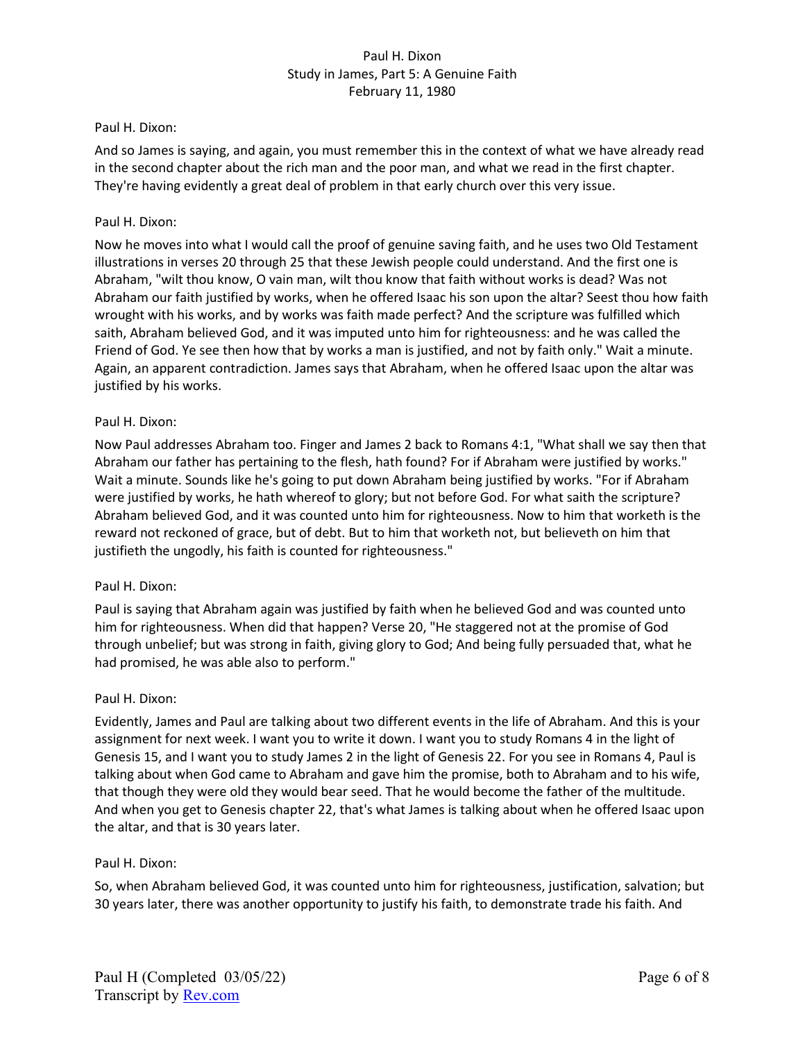#### Paul H. Dixon:

And so James is saying, and again, you must remember this in the context of what we have already read in the second chapter about the rich man and the poor man, and what we read in the first chapter. They're having evidently a great deal of problem in that early church over this very issue.

#### Paul H. Dixon:

Now he moves into what I would call the proof of genuine saving faith, and he uses two Old Testament illustrations in verses 20 through 25 that these Jewish people could understand. And the first one is Abraham, "wilt thou know, O vain man, wilt thou know that faith without works is dead? Was not Abraham our faith justified by works, when he offered Isaac his son upon the altar? Seest thou how faith wrought with his works, and by works was faith made perfect? And the scripture was fulfilled which saith, Abraham believed God, and it was imputed unto him for righteousness: and he was called the Friend of God. Ye see then how that by works a man is justified, and not by faith only." Wait a minute. Again, an apparent contradiction. James says that Abraham, when he offered Isaac upon the altar was justified by his works.

### Paul H. Dixon:

Now Paul addresses Abraham too. Finger and James 2 back to Romans 4:1, "What shall we say then that Abraham our father has pertaining to the flesh, hath found? For if Abraham were justified by works." Wait a minute. Sounds like he's going to put down Abraham being justified by works. "For if Abraham were justified by works, he hath whereof to glory; but not before God. For what saith the scripture? Abraham believed God, and it was counted unto him for righteousness. Now to him that worketh is the reward not reckoned of grace, but of debt. But to him that worketh not, but believeth on him that justifieth the ungodly, his faith is counted for righteousness."

#### Paul H. Dixon:

Paul is saying that Abraham again was justified by faith when he believed God and was counted unto him for righteousness. When did that happen? Verse 20, "He staggered not at the promise of God through unbelief; but was strong in faith, giving glory to God; And being fully persuaded that, what he had promised, he was able also to perform."

#### Paul H. Dixon:

Evidently, James and Paul are talking about two different events in the life of Abraham. And this is your assignment for next week. I want you to write it down. I want you to study Romans 4 in the light of Genesis 15, and I want you to study James 2 in the light of Genesis 22. For you see in Romans 4, Paul is talking about when God came to Abraham and gave him the promise, both to Abraham and to his wife, that though they were old they would bear seed. That he would become the father of the multitude. And when you get to Genesis chapter 22, that's what James is talking about when he offered Isaac upon the altar, and that is 30 years later.

#### Paul H. Dixon:

So, when Abraham believed God, it was counted unto him for righteousness, justification, salvation; but 30 years later, there was another opportunity to justify his faith, to demonstrate trade his faith. And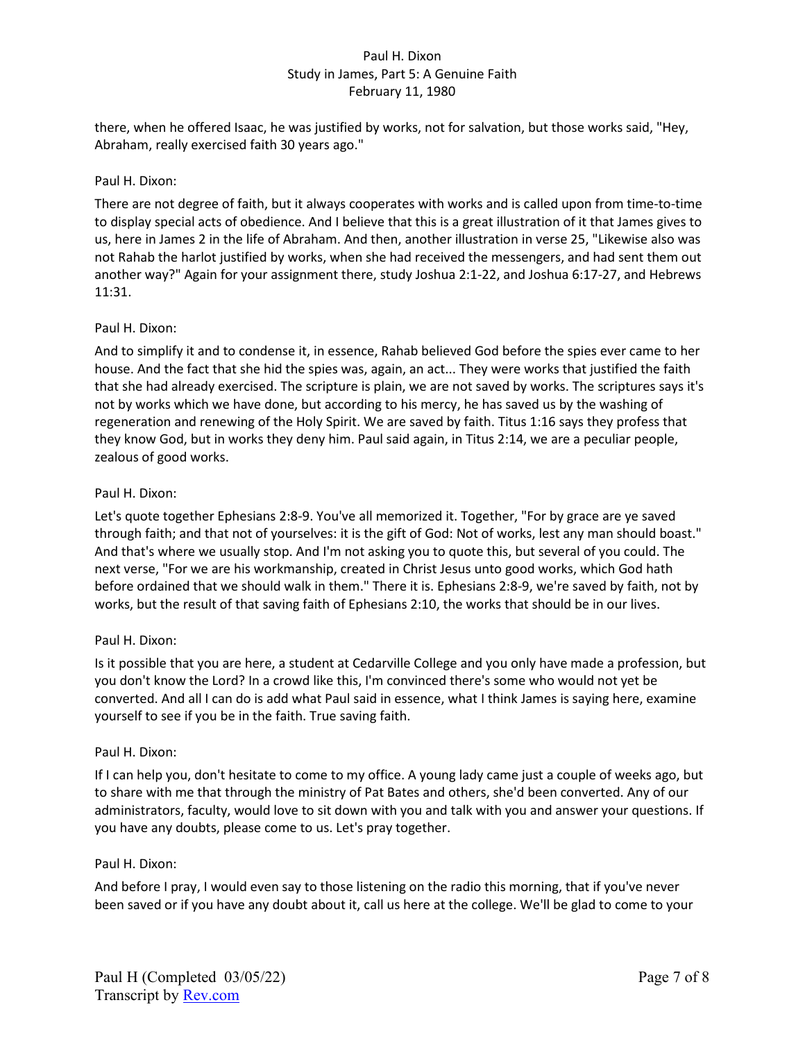there, when he offered Isaac, he was justified by works, not for salvation, but those works said, "Hey, Abraham, really exercised faith 30 years ago."

## Paul H. Dixon:

There are not degree of faith, but it always cooperates with works and is called upon from time-to-time to display special acts of obedience. And I believe that this is a great illustration of it that James gives to us, here in James 2 in the life of Abraham. And then, another illustration in verse 25, "Likewise also was not Rahab the harlot justified by works, when she had received the messengers, and had sent them out another way?" Again for your assignment there, study Joshua 2:1-22, and Joshua 6:17-27, and Hebrews 11:31.

### Paul H. Dixon:

And to simplify it and to condense it, in essence, Rahab believed God before the spies ever came to her house. And the fact that she hid the spies was, again, an act... They were works that justified the faith that she had already exercised. The scripture is plain, we are not saved by works. The scriptures says it's not by works which we have done, but according to his mercy, he has saved us by the washing of regeneration and renewing of the Holy Spirit. We are saved by faith. Titus 1:16 says they profess that they know God, but in works they deny him. Paul said again, in Titus 2:14, we are a peculiar people, zealous of good works.

### Paul H. Dixon:

Let's quote together Ephesians 2:8-9. You've all memorized it. Together, "For by grace are ye saved through faith; and that not of yourselves: it is the gift of God: Not of works, lest any man should boast." And that's where we usually stop. And I'm not asking you to quote this, but several of you could. The next verse, "For we are his workmanship, created in Christ Jesus unto good works, which God hath before ordained that we should walk in them." There it is. Ephesians 2:8-9, we're saved by faith, not by works, but the result of that saving faith of Ephesians 2:10, the works that should be in our lives.

# Paul H. Dixon:

Is it possible that you are here, a student at Cedarville College and you only have made a profession, but you don't know the Lord? In a crowd like this, I'm convinced there's some who would not yet be converted. And all I can do is add what Paul said in essence, what I think James is saying here, examine yourself to see if you be in the faith. True saving faith.

#### Paul H. Dixon:

If I can help you, don't hesitate to come to my office. A young lady came just a couple of weeks ago, but to share with me that through the ministry of Pat Bates and others, she'd been converted. Any of our administrators, faculty, would love to sit down with you and talk with you and answer your questions. If you have any doubts, please come to us. Let's pray together.

# Paul H. Dixon:

And before I pray, I would even say to those listening on the radio this morning, that if you've never been saved or if you have any doubt about it, call us here at the college. We'll be glad to come to your